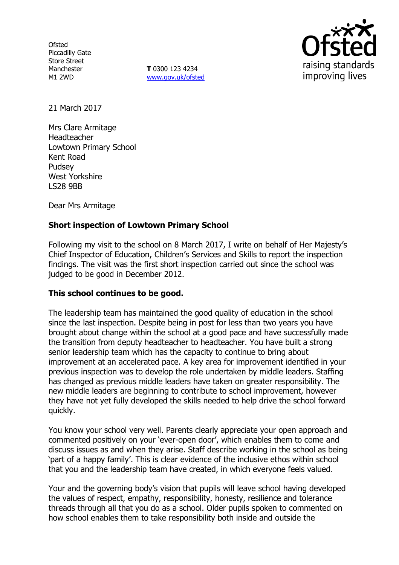**Ofsted** Piccadilly Gate Store Street Manchester M1 2WD

**T** 0300 123 4234 www.gov.uk/ofsted



21 March 2017

Mrs Clare Armitage Headteacher Lowtown Primary School Kent Road Pudsey West Yorkshire LS28 9BB

Dear Mrs Armitage

# **Short inspection of Lowtown Primary School**

Following my visit to the school on 8 March 2017, I write on behalf of Her Majesty's Chief Inspector of Education, Children's Services and Skills to report the inspection findings. The visit was the first short inspection carried out since the school was judged to be good in December 2012.

## **This school continues to be good.**

The leadership team has maintained the good quality of education in the school since the last inspection. Despite being in post for less than two years you have brought about change within the school at a good pace and have successfully made the transition from deputy headteacher to headteacher. You have built a strong senior leadership team which has the capacity to continue to bring about improvement at an accelerated pace. A key area for improvement identified in your previous inspection was to develop the role undertaken by middle leaders. Staffing has changed as previous middle leaders have taken on greater responsibility. The new middle leaders are beginning to contribute to school improvement, however they have not yet fully developed the skills needed to help drive the school forward quickly.

You know your school very well. Parents clearly appreciate your open approach and commented positively on your 'ever-open door', which enables them to come and discuss issues as and when they arise. Staff describe working in the school as being 'part of a happy family'. This is clear evidence of the inclusive ethos within school that you and the leadership team have created, in which everyone feels valued.

Your and the governing body's vision that pupils will leave school having developed the values of respect, empathy, responsibility, honesty, resilience and tolerance threads through all that you do as a school. Older pupils spoken to commented on how school enables them to take responsibility both inside and outside the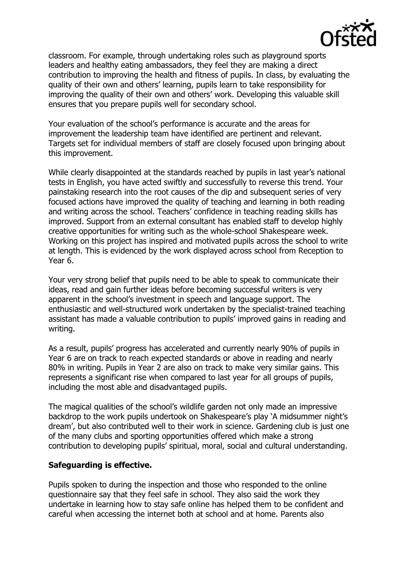

classroom. For example, through undertaking roles such as playground sports leaders and healthy eating ambassadors, they feel they are making a direct contribution to improving the health and fitness of pupils. In class, by evaluating the quality of their own and others' learning, pupils learn to take responsibility for improving the quality of their own and others' work. Developing this valuable skill ensures that you prepare pupils well for secondary school.

Your evaluation of the school's performance is accurate and the areas for improvement the leadership team have identified are pertinent and relevant. Targets set for individual members of staff are closely focused upon bringing about this improvement.

While clearly disappointed at the standards reached by pupils in last year's national tests in English, you have acted swiftly and successfully to reverse this trend. Your painstaking research into the root causes of the dip and subsequent series of very focused actions have improved the quality of teaching and learning in both reading and writing across the school. Teachers' confidence in teaching reading skills has improved. Support from an external consultant has enabled staff to develop highly creative opportunities for writing such as the whole-school Shakespeare week. Working on this project has inspired and motivated pupils across the school to write at length. This is evidenced by the work displayed across school from Reception to Year 6.

Your very strong belief that pupils need to be able to speak to communicate their ideas, read and gain further ideas before becoming successful writers is very apparent in the school's investment in speech and language support. The enthusiastic and well-structured work undertaken by the specialist-trained teaching assistant has made a valuable contribution to pupils' improved gains in reading and writing.

As a result, pupils' progress has accelerated and currently nearly 90% of pupils in Year 6 are on track to reach expected standards or above in reading and nearly 80% in writing. Pupils in Year 2 are also on track to make very similar gains. This represents a significant rise when compared to last year for all groups of pupils, including the most able and disadvantaged pupils.

The magical qualities of the school's wildlife garden not only made an impressive backdrop to the work pupils undertook on Shakespeare's play 'A midsummer night's dream', but also contributed well to their work in science. Gardening club is just one of the many clubs and sporting opportunities offered which make a strong contribution to developing pupils' spiritual, moral, social and cultural understanding.

## **Safeguarding is effective.**

Pupils spoken to during the inspection and those who responded to the online questionnaire say that they feel safe in school. They also said the work they undertake in learning how to stay safe online has helped them to be confident and careful when accessing the internet both at school and at home. Parents also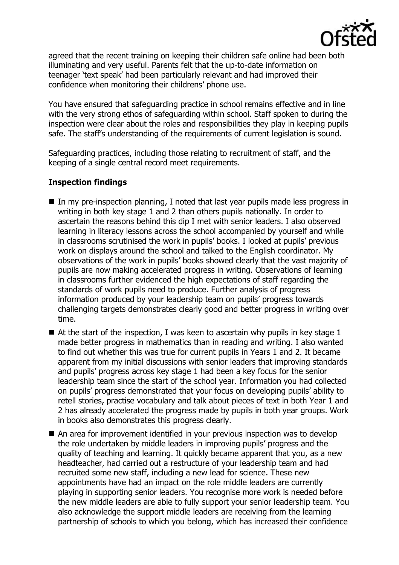

agreed that the recent training on keeping their children safe online had been both illuminating and very useful. Parents felt that the up-to-date information on teenager 'text speak' had been particularly relevant and had improved their confidence when monitoring their childrens' phone use.

You have ensured that safeguarding practice in school remains effective and in line with the very strong ethos of safeguarding within school. Staff spoken to during the inspection were clear about the roles and responsibilities they play in keeping pupils safe. The staff's understanding of the requirements of current legislation is sound.

Safeguarding practices, including those relating to recruitment of staff, and the keeping of a single central record meet requirements.

## **Inspection findings**

- In my pre-inspection planning, I noted that last year pupils made less progress in writing in both key stage 1 and 2 than others pupils nationally. In order to ascertain the reasons behind this dip I met with senior leaders. I also observed learning in literacy lessons across the school accompanied by yourself and while in classrooms scrutinised the work in pupils' books. I looked at pupils' previous work on displays around the school and talked to the English coordinator. My observations of the work in pupils' books showed clearly that the vast majority of pupils are now making accelerated progress in writing. Observations of learning in classrooms further evidenced the high expectations of staff regarding the standards of work pupils need to produce. Further analysis of progress information produced by your leadership team on pupils' progress towards challenging targets demonstrates clearly good and better progress in writing over time.
- $\blacksquare$  At the start of the inspection, I was keen to ascertain why pupils in key stage 1 made better progress in mathematics than in reading and writing. I also wanted to find out whether this was true for current pupils in Years 1 and 2. It became apparent from my initial discussions with senior leaders that improving standards and pupils' progress across key stage 1 had been a key focus for the senior leadership team since the start of the school year. Information you had collected on pupils' progress demonstrated that your focus on developing pupils' ability to retell stories, practise vocabulary and talk about pieces of text in both Year 1 and 2 has already accelerated the progress made by pupils in both year groups. Work in books also demonstrates this progress clearly.
- An area for improvement identified in your previous inspection was to develop the role undertaken by middle leaders in improving pupils' progress and the quality of teaching and learning. It quickly became apparent that you, as a new headteacher, had carried out a restructure of your leadership team and had recruited some new staff, including a new lead for science. These new appointments have had an impact on the role middle leaders are currently playing in supporting senior leaders. You recognise more work is needed before the new middle leaders are able to fully support your senior leadership team. You also acknowledge the support middle leaders are receiving from the learning partnership of schools to which you belong, which has increased their confidence